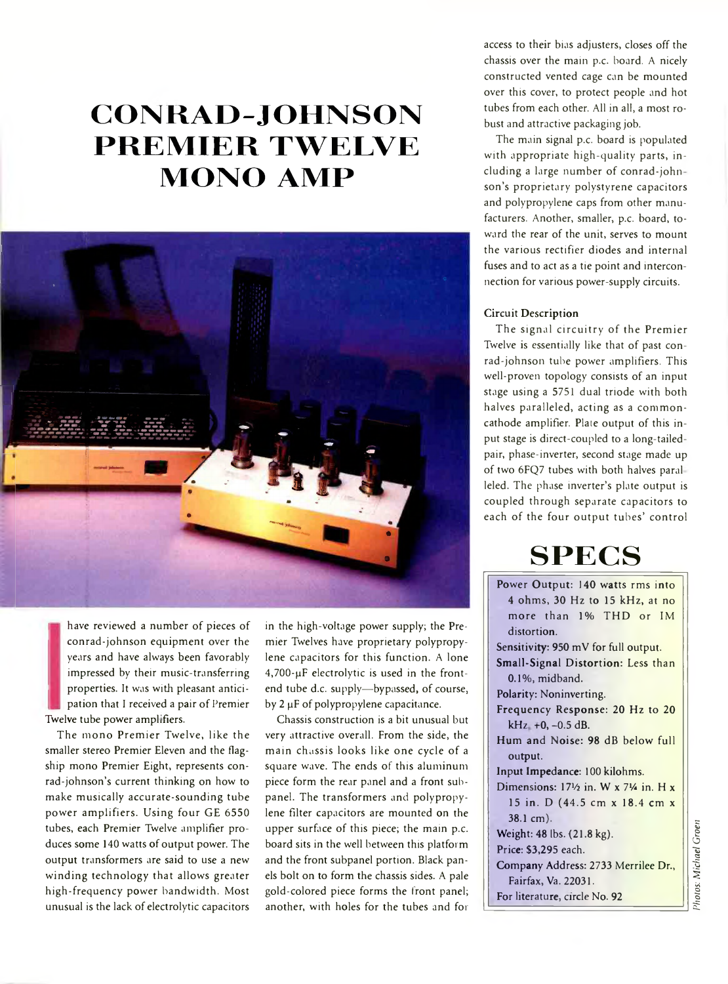# **C O N R A D -J O H N S O N PREMIER TWELVE MONO AMP**



have reviewed a number of pieces of conrad-johnson equipment over the years and have always been favorably impressed by their music-transferring properties. It was with pleasant antici pation that I received a pair of Premier Twelve tube power amplifiers.

The mono Premier Twelve, like the smaller stereo Premier Eleven and the flagship mono Premier Eight, represents conrad-johnson's current thinking on how to make musically accurate-sounding tube power amplifiers. Using four GE 6550 tubes, each Premier Twelve amplifier produces some 140 watts of output power. The output transformers are said to use a new winding technology that allows greater high-frequency power bandwidth. Most unusual is the lack of electrolytic capacitors in the high-voltage power supply; the Premier Twelves have proprietary polypropylene capacitors for this function. A lone 4,700-pF electrolytic is used in the frontend tube d.c. supply—bypassed, of course, by 2 µF of polypropylene capacitance.

Chassis construction is a bit unusual but very attractive overall. From the side, the main chassis looks like one cycle of a square wave. The ends of this aluminum piece form the rear panel and a front subpanel. The transformers and polypropylene filter capacitors are mounted on the upper surface of this piece; the main p.c. board sits in the well between this platform and the front subpanel portion. Black panels bolt on to form the chassis sides. A pale gold-colored piece forms the front panel; another, with holes for the tubes and for

access to their bias adjusters, closes off the chassis over the main p.c. board. A nicely constructed vented cage can be mounted over this cover, to protect people and hot tubes from each other. All in all, a most robust and attractive packaging job.

The main signal p.c. board is populated with appropriate high-quality parts, including a large number of conrad-john son's proprietary polystyrene capacitors and polypropylene caps from other manufacturers. Another, smaller, p.c. board, toward the rear of the unit, serves to mount the various rectifier diodes and internal fuses and to act as a tie point and interconnection for various power-supply circuits.

### Circuit Description

The signal circuitry of the Premier Twelve is essentially like that of past conrad-johnson tube power amplifiers. This well-proven topology consists of an input stage using a 5751 dual triode with both halves paralleled, acting as a commoncathode amplifier. Plate output of this input stage is direct-coupled to a long-tailedpair, phase-inverter, second stage made up of two 6FQ7 tubes with both halves paral leled. The phase inverter's plate output is coupled through separate capacitors to each of the four output tubes' control

# **S P E C S \_\_**

| Power Output: 140 watts rms into                             |  |  |
|--------------------------------------------------------------|--|--|
| 4 ohms, 30 Hz to 15 kHz, at no                               |  |  |
| more than 1% THD or IM                                       |  |  |
| distortion.                                                  |  |  |
| Sensitivity: 950 mV for full output.                         |  |  |
| Small-Signal Distortion: Less than                           |  |  |
| $0.1\%$ , midband.                                           |  |  |
| Polarity: Noninverting.                                      |  |  |
| Frequency Response: 20 Hz to 20                              |  |  |
| $kHz +0, -0.5 dB.$                                           |  |  |
| Hum and Noise: 98 dB below full                              |  |  |
| output.                                                      |  |  |
| Input Impedance: 100 kilohms.                                |  |  |
| Dimensions: $17\frac{1}{2}$ in. W x 7 <sup>1/2</sup> in. H x |  |  |
| 15 in. D (44.5 cm x 18.4 cm x                                |  |  |
| $38.1 \text{ cm}$ ).                                         |  |  |
| Weight: 48 lbs. (21.8 kg).                                   |  |  |
| Price: \$3,295 each.                                         |  |  |
| Company Address: 2733 Merrilee Dr.,                          |  |  |
| Fairfax, Va. 22031.                                          |  |  |
| For literature, circle No. 92                                |  |  |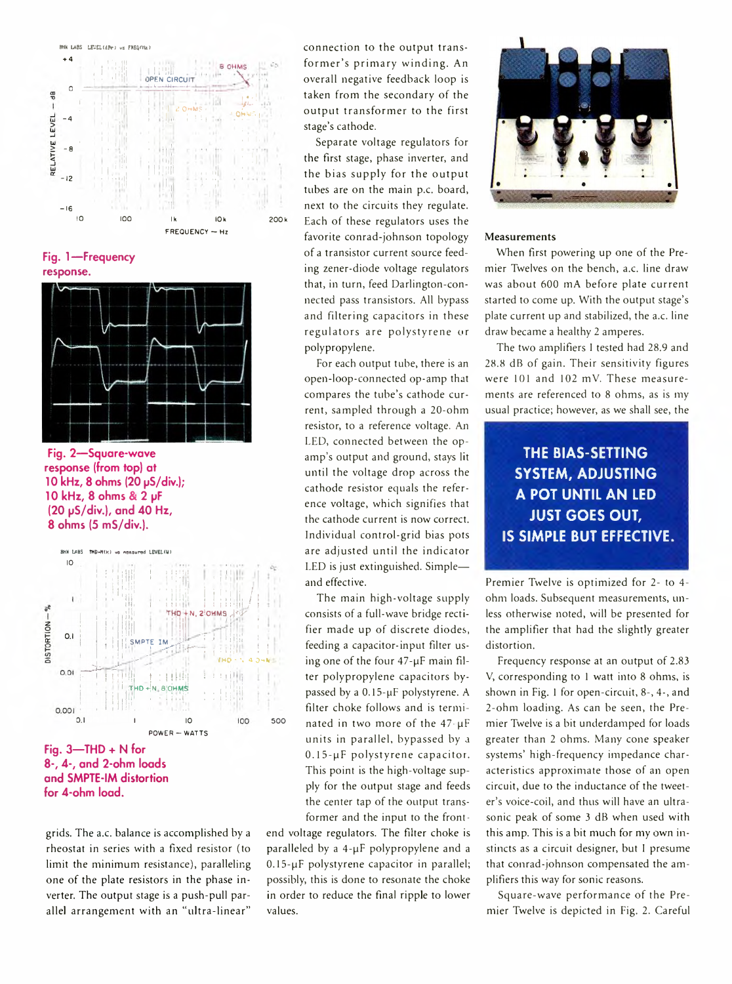

Fig. 1-Frequency response.



Fig. 2-Square-wave response (from top) at 10 kHz, 8 ohms (20 µS/div.); 10 kHz, 8 ohms & 2 µF (20 µS/div.), and 40 Hz, 8 ohms (5 mS/div.).



and SMPTE-IM distortion for 4-ohm load.

grids. The a.c. balance is accomplished by a rheostat in series with a fixed resistor (to limit the minimum resistance), paralleling one of the plate resistors in the phase inverter. The output stage is a push-pull parallel arrangement with an "ultra-linear"

connection to the output transformer's primary winding. An overall negative feedback loop is taken from the secondary of the output transformer to the first stage's cathode.

Separate voltage regulators for the first stage, phase inverter, and the bias supply for the output tubes are on the main p.c. board, next to the circuits they regulate. Each of these regulators uses the favorite conrad-johnson topology of a transistor current source feeding zener-diode voltage regulators that, in turn, feed Darlington-connected pass transistors. All bypass and filtering capacitors in these regulators are polystyrene or polypropylene.

For each output tube, there is an open-loop-connected op-amp that compares the tube's cathode current, sampled through a 20-ohm resistor, to a reference voltage. An LED, connected between the opamp's output and ground, stays lit until the voltage drop across the cathode resistor equals the reference voltage, which signifies that the cathode current is now correct. Individual control-grid bias pots are adjusted until the indicator LED is just extinguished. Simpleand effective.

The main high-voltage supply consists of a full-wave bridge rectifier made up of discrete diodes, feeding a capacitor-input filter using one of the four 47-µF main filter polypropylene capacitors bypassed by a 0.15-µF polystyrene. A filter choke follows and is terminated in two more of the 47-µF units in parallel, bypassed by a 0.15-uF polystyrene capacitor. This point is the high-voltage supply for the output stage and feeds the center tap of the output transformer and the input to the front-

end voltage regulators. The filter choke is paralleled by a 4-µF polypropylene and a 0.15-µF polystyrene capacitor in parallel; possibly, this is done to resonate the choke in order to reduce the final ripple to lower values.



#### Measurements

When first powering up one of the Premier Twelves on the bench, a.c. line draw was about 600 mA before plate current started to come up. With the output stage's plate current up and stabilized, the a.c. line draw became a healthy 2 amperes.

The two amplifiers I tested had 28.9 and 28.8 dB of gain. Their sensitivity figures were 101 and 102 mV. These measurements are referenced to 8 ohms, as is my usual practice; however, as we shall see, the

# **THE BIAS-SETTING SYSTEM, ADJUSTING** A POT UNTIL AN LED **JUST GOES OUT, IS SIMPLE BUT EFFECTIVE.**

Premier Twelve is optimized for 2- to 4ohm loads. Subsequent measurements, unless otherwise noted, will be presented for the amplifier that had the slightly greater distortion.

Frequency response at an output of 2.83 V, corresponding to 1 watt into 8 ohms, is shown in Fig. 1 for open-circuit, 8-, 4-, and 2-ohm loading. As can be seen, the Premier Twelve is a bit underdamped for loads greater than 2 ohms. Many cone speaker systems' high-frequency impedance characteristics approximate those of an open circuit, due to the inductance of the tweeter's voice-coil, and thus will have an ultrasonic peak of some 3 dB when used with this amp. This is a bit much for my own instincts as a circuit designer, but I presume that conrad-johnson compensated the amplifiers this way for sonic reasons.

Square-wave performance of the Premier Twelve is depicted in Fig. 2. Careful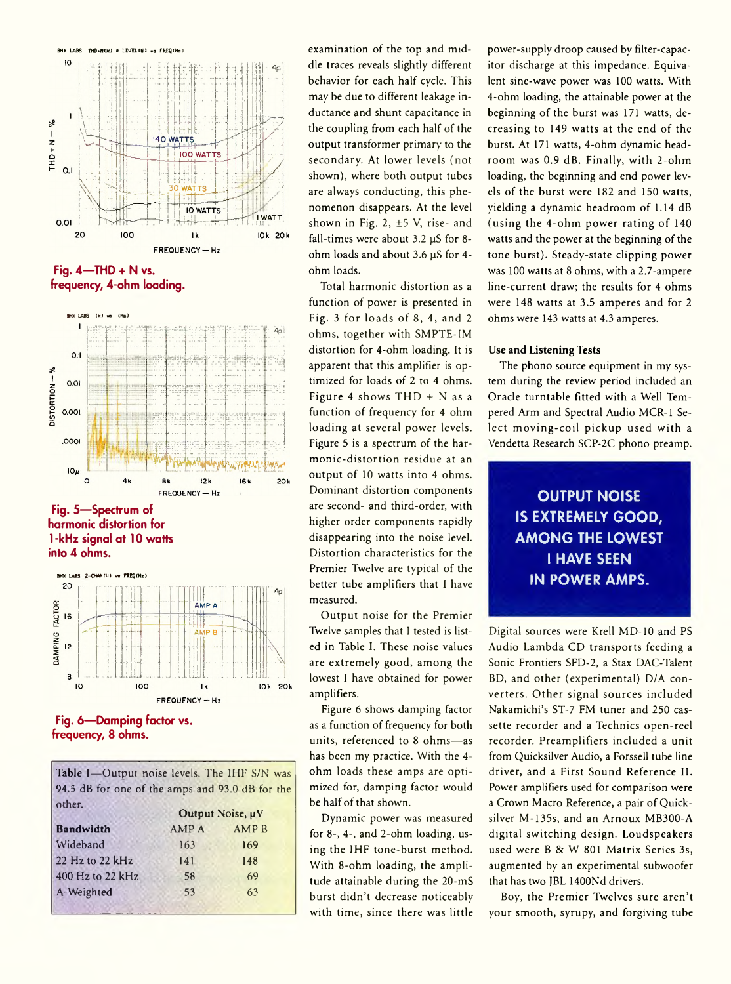

**Fig. 4— THD + N vs. frequency, 4-ohm loading.**



**Fig. 5— Spectrum of harmonic distortion for 1 -kHz signal at 10 watts into 4 ohms.**



**Fig. 6— Damping factor vs. frequency, 8 ohms.**

Table I-Output noise levels. The IHF S/N was 94.5 dB for one of the amps and 93.0 dB for the other. Output Noise,  $\mu V$ 

| <b>Bandwidth</b>    | AMP A | <b>AMPB</b> |
|---------------------|-------|-------------|
| Wideband            | 163   | 169         |
| $22$ Hz to $22$ kHz | 141   | 148         |
| 400 Hz to 22 kHz    | 58    | 69          |
| A-Weighted          | 53    | 63          |
|                     |       |             |

examination of the top and middle traces reveals slightly different behavior for each half cycle. This may be due to different leakage inductance and shunt capacitance in the coupling from each half of the output transformer primary to the secondary. At lower levels (not shown), where both output tubes are always conducting, this phenomenon disappears. At the level shown in Fig. 2,  $\pm$ 5 V, rise- and fall-times were about  $3.2 \mu S$  for 8ohm loads and about 3.6 µS for 4ohm loads.

Total harmonic distortion as a function of power is presented in Fig. 3 for loads of 8, 4, and 2 ohms, together with SMPTE-1M distortion for 4-ohm loading. It is apparent that this amplifier is optimized for loads of 2 to 4 ohms. Figure 4 shows THD + N as a function of frequency for 4-ohm loading at several power levels. Figure 5 is a spectrum of the harmonic-distortion residue at an output of 10 watts into 4 ohms. Dominant distortion components are second- and third-order, with higher order components rapidly disappearing into the noise level. Distortion characteristics for the Premier Twelve are typical of the better tube amplifiers that 1 have measured.

Output noise for the Premier Twelve samples that I tested is listed in Table 1. These noise values are extremely good, among the lowest 1 have obtained for power amplifiers.

Figure 6 shows damping factor as a function of frequency for both units, referenced to 8 ohms—as has been my practice. With the 4 ohm loads these amps are optimized for, damping factor would be half of that shown.

Dynamic power was measured for 8-, 4-, and 2-ohm loading, using the IHF tone-burst method. With 8-ohm loading, the amplitude attainable during the 20-mS burst didn't decrease noticeably with time, since there was little power-supply droop caused by filter-capacitor discharge at this impedance. Equivalent sine-wave power was 100 watts. With 4-ohm loading, the attainable power at the beginning of the burst was 171 watts, decreasing to 149 watts at the end of the burst. At 171 watts, 4-ohm dynamic headroom was 0.9 dB. Finally, with 2-ohm loading, the beginning and end power levels of the burst were 182 and 150 watts, yielding a dynamic headroom of 1.14 dB (using the 4-ohm power rating of 140 watts and the power at the beginning of the tone burst). Steady-state clipping power was 100 watts at 8 ohms, with a 2.7-ampere line-current draw; the results for 4 ohms were 148 watts at 3.5 amperes and for 2 ohms were 143 watts at 4.3 amperes.

### **Use and Listening Tests**

The phono source equipment in my system during the review period included an Oracle turntable fitted with a Well Tempered Arm and Spectral Audio MCR-1 Select moving-coil pickup used with a Vendetta Research SCP-2C phono preamp.

> **OUTPUT NOISE IS EXTREMELY GOOD, AMONG THE LOWEST I HAVE SEEN IN POWER AMPS.**

Digital sources were Krell MD-10 and PS Audio Lambda CD transports feeding a Sonic Frontiers SFD-2, a Stax DAC-Talent BD, and other (experimental) D/A converters. Other signal sources included Nakamichi's ST-7 FM tuner and 250 cassette recorder and a Technics open-reel recorder. Preamplifiers included a unit from Quicksilver Audio, a Forssell tube line driver, and a First Sound Reference II. Power amplifiers used for comparison were a Crown Macro Reference, a pair of Quicksilver M-135s, and an Arnoux MB300-A digital switching design. Loudspeakers used were B & W 801 Matrix Series 3s, augmented by an experimental subwoofer that has two JBL 1400Nd drivers.

Boy, the Premier Twelves sure aren't your smooth, syrupy, and forgiving tube